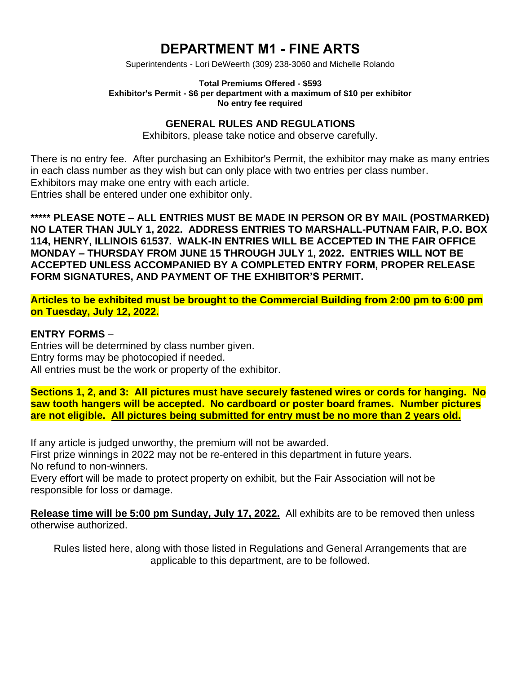# **DEPARTMENT M1 - FINE ARTS**

Superintendents - Lori DeWeerth (309) 238-3060 and Michelle Rolando

#### **Total Premiums Offered - \$593 Exhibitor's Permit - \$6 per department with a maximum of \$10 per exhibitor No entry fee required**

### **GENERAL RULES AND REGULATIONS**

Exhibitors, please take notice and observe carefully.

There is no entry fee. After purchasing an Exhibitor's Permit, the exhibitor may make as many entries in each class number as they wish but can only place with two entries per class number. Exhibitors may make one entry with each article. Entries shall be entered under one exhibitor only.

**\*\*\*\*\* PLEASE NOTE – ALL ENTRIES MUST BE MADE IN PERSON OR BY MAIL (POSTMARKED) NO LATER THAN JULY 1, 2022. ADDRESS ENTRIES TO MARSHALL-PUTNAM FAIR, P.O. BOX 114, HENRY, ILLINOIS 61537. WALK-IN ENTRIES WILL BE ACCEPTED IN THE FAIR OFFICE MONDAY – THURSDAY FROM JUNE 15 THROUGH JULY 1, 2022. ENTRIES WILL NOT BE ACCEPTED UNLESS ACCOMPANIED BY A COMPLETED ENTRY FORM, PROPER RELEASE FORM SIGNATURES, AND PAYMENT OF THE EXHIBITOR'S PERMIT.**

**Articles to be exhibited must be brought to the Commercial Building from 2:00 pm to 6:00 pm on Tuesday, July 12, 2022.**

#### **ENTRY FORMS** –

Entries will be determined by class number given. Entry forms may be photocopied if needed. All entries must be the work or property of the exhibitor.

**Sections 1, 2, and 3: All pictures must have securely fastened wires or cords for hanging. No saw tooth hangers will be accepted. No cardboard or poster board frames. Number pictures are not eligible. All pictures being submitted for entry must be no more than 2 years old.**

If any article is judged unworthy, the premium will not be awarded.

First prize winnings in 2022 may not be re-entered in this department in future years. No refund to non-winners.

Every effort will be made to protect property on exhibit, but the Fair Association will not be responsible for loss or damage.

**Release time will be 5:00 pm Sunday, July 17, 2022.** All exhibits are to be removed then unless otherwise authorized.

Rules listed here, along with those listed in Regulations and General Arrangements that are applicable to this department, are to be followed.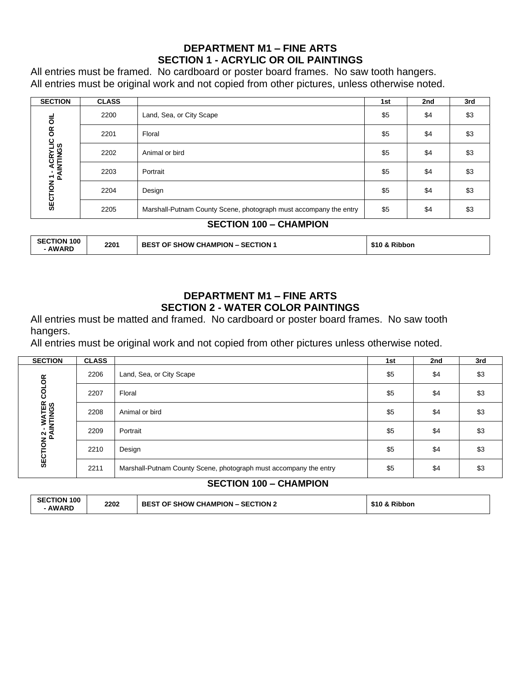# **DEPARTMENT M1 – FINE ARTS SECTION 1 - ACRYLIC OR OIL PAINTINGS**

All entries must be framed. No cardboard or poster board frames. No saw tooth hangers. All entries must be original work and not copied from other pictures, unless otherwise noted.

| <b>SECTION</b>                          | <b>CLASS</b> |                                                                   | 1st | 2nd | 3rd |  |
|-----------------------------------------|--------------|-------------------------------------------------------------------|-----|-----|-----|--|
| $\overline{\overline{6}}$               | 2200         | Land, Sea, or City Scape                                          | \$5 | \$4 | \$3 |  |
| ΘŔ                                      | 2201         | Floral                                                            | \$5 | \$4 | \$3 |  |
| <b>SECTION 1 - ACRYLIC</b><br>PAINTINGS | 2202         | Animal or bird                                                    | \$5 | \$4 | \$3 |  |
|                                         | 2203         | Portrait                                                          | \$5 | \$4 | \$3 |  |
|                                         | 2204         | Design                                                            | \$5 | \$4 | \$3 |  |
|                                         | 2205         | Marshall-Putnam County Scene, photograph must accompany the entry | \$5 | \$4 | \$3 |  |
| <b>SECTION 100 - CHAMPION</b>           |              |                                                                   |     |     |     |  |

| <b>SECTION 100</b><br><b>AWARD</b> | 2201 | <b>BEST OF SHOW CHAMPION - SECTION 1</b> | \$10 & Ribbon |
|------------------------------------|------|------------------------------------------|---------------|

# **DEPARTMENT M1 – FINE ARTS SECTION 2 - WATER COLOR PAINTINGS**

All entries must be matted and framed. No cardboard or poster board frames. No saw tooth hangers.

All entries must be original work and not copied from other pictures unless otherwise noted.

| <b>SECTION</b>                                         | <b>CLASS</b> |                                                                   | 1st | 2nd | 3rd |
|--------------------------------------------------------|--------------|-------------------------------------------------------------------|-----|-----|-----|
| <b>COLOR</b><br><b>SECTION 2 - WATER<br/>PAINTINGS</b> | 2206         | Land, Sea, or City Scape                                          | \$5 | \$4 | \$3 |
|                                                        | 2207         | Floral                                                            | \$5 | \$4 | \$3 |
|                                                        | 2208         | Animal or bird                                                    | \$5 | \$4 | \$3 |
|                                                        | 2209         | Portrait                                                          | \$5 | \$4 | \$3 |
|                                                        | 2210         | Design                                                            | \$5 | \$4 | \$3 |
|                                                        | 2211         | Marshall-Putnam County Scene, photograph must accompany the entry | \$5 | \$4 | \$3 |
|                                                        |              |                                                                   |     |     |     |

### **SECTION 100 – CHAMPION**

| <b>SECTION 100</b> | 2202 | <b>SECTION 2</b>               | \$10 & Ribbon |
|--------------------|------|--------------------------------|---------------|
| <b>AWARD</b>       |      | <b>BEST OF SHOW CHAMPION –</b> |               |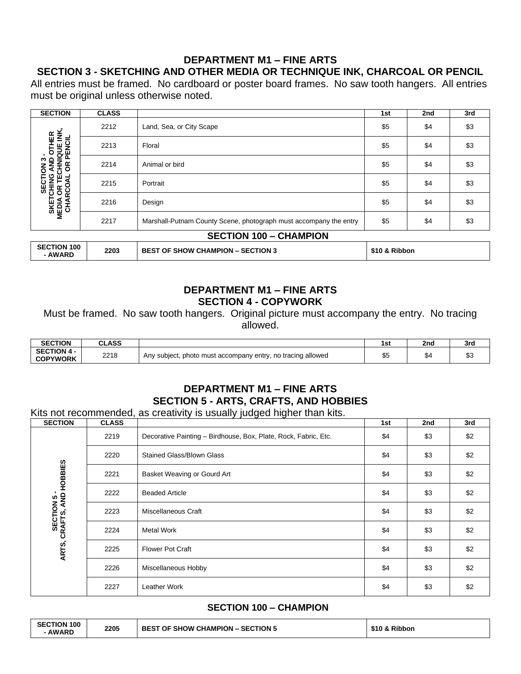# **DEPARTMENT M1 – FINE ARTS**

# **SECTION 3 - SKETCHING AND OTHER MEDIA OR TECHNIQUE INK, CHARCOAL OR PENCIL**

All entries must be framed. No cardboard or poster board frames. No saw tooth hangers. All entries must be original unless otherwise noted.

| <b>SECTION</b>                                 | <b>CLASS</b> |                                                                   | 1st | 2nd | 3rd |  |
|------------------------------------------------|--------------|-------------------------------------------------------------------|-----|-----|-----|--|
|                                                | 2212         | Land, Sea, or City Scape                                          | \$5 | \$4 | \$3 |  |
| OTHER<br>QUE INK,<br><b>IQUE IN<br/>PENCIL</b> | 2213         | Floral                                                            | \$5 | \$4 | \$3 |  |
| ₹<br>δŘ<br>동                                   | 2214         | Animal or bird                                                    | \$5 | \$4 | \$3 |  |
| SECTION<br><b>CHING</b><br>ш                   | 2215         | Portrait                                                          | \$5 | \$4 | \$3 |  |
| <b>SKETCHING<br/>MEDIA OR TEC<br/>CHARCOAL</b> | 2216         | Design                                                            | \$5 | \$4 | \$3 |  |
|                                                | 2217         | Marshall-Putnam County Scene, photograph must accompany the entry | \$5 | \$4 | \$3 |  |
| <b>SECTION 100 - CHAMPION</b>                  |              |                                                                   |     |     |     |  |
| <b>CECTION 100</b>                             |              |                                                                   |     |     |     |  |

| <b>SECTION 100</b><br><b>AWARD</b> | 2203 | <b>BEST OF SHOW CHAMPION - SECTION 3</b> | \$10 & Ribbon |
|------------------------------------|------|------------------------------------------|---------------|
|------------------------------------|------|------------------------------------------|---------------|

#### **DEPARTMENT M1 – FINE ARTS SECTION 4 - COPYWORK**

Must be framed. No saw tooth hangers. Original picture must accompany the entry. No tracing allowed.

| <b>SECTION</b>                        | CLASS |                                                                        | 1st              | 2nd | 3rd          |
|---------------------------------------|-------|------------------------------------------------------------------------|------------------|-----|--------------|
| <b>SECTION 4 -</b><br><b>COPYWORK</b> | 2218  | no tracing allowed<br>subject,<br>, photo must accompany entry,<br>Anv | $\sim$ $-$<br>∾∿ |     | $\sim$<br>ഄഄ |

# **DEPARTMENT M1 – FINE ARTS SECTION 5 - ARTS, CRAFTS, AND HOBBIES**

Kits not recommended, as creativity is usually judged higher than kits.

| <b>SECTION</b>                                  | <b>CLASS</b> |                                                                 | 1st | 2nd | 3rd |
|-------------------------------------------------|--------------|-----------------------------------------------------------------|-----|-----|-----|
|                                                 | 2219         | Decorative Painting - Birdhouse, Box, Plate, Rock, Fabric, Etc. | \$4 | \$3 | \$2 |
|                                                 | 2220         | <b>Stained Glass/Blown Glass</b>                                | \$4 | \$3 | \$2 |
|                                                 | 2221         | Basket Weaving or Gourd Art                                     | \$4 | \$3 | \$2 |
|                                                 | 2222         | <b>Beaded Article</b>                                           | \$4 | \$3 | \$2 |
|                                                 | 2223         | Miscellaneous Craft                                             | \$4 | \$3 | \$2 |
| <b>SECTION 5-<br/>ARTS, CRAFTS, AND HOBBIES</b> | 2224         | Metal Work                                                      | \$4 | \$3 | \$2 |
|                                                 | 2225         | <b>Flower Pot Craft</b>                                         | \$4 | \$3 | \$2 |
|                                                 | 2226         | Miscellaneous Hobby                                             | \$4 | \$3 | \$2 |
|                                                 | 2227         | Leather Work                                                    | \$4 | \$3 | \$2 |

#### **SECTION 100 – CHAMPION**

| <b>SECTION 100</b> | 2205 | - SECTION 5                      | <b>Ribbon</b> |
|--------------------|------|----------------------------------|---------------|
| <b>AWARD</b>       |      | <b>BEST OF SHOW CHAMPION – 5</b> | \$10 &        |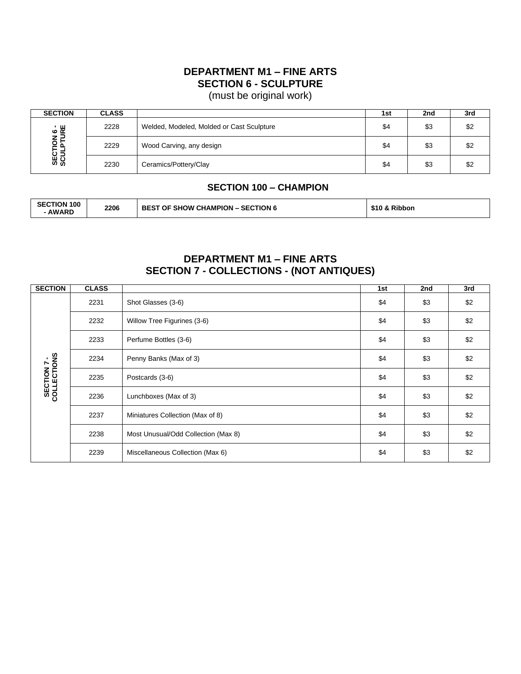# **DEPARTMENT M1 – FINE ARTS SECTION 6 - SCULPTURE**

(must be original work)

| <b>SECTION</b>          | <b>CLASS</b> |                                           | 1st | 2nd | 3rd |
|-------------------------|--------------|-------------------------------------------|-----|-----|-----|
| SECTION 6-<br>SCULPTURE | 2228         | Welded, Modeled, Molded or Cast Sculpture | \$4 | \$3 | \$2 |
|                         | 2229         | Wood Carving, any design                  | \$4 | \$3 | \$2 |
|                         | 2230         | Ceramics/Pottery/Clay                     | \$4 | \$3 | \$2 |

#### **SECTION 100 – CHAMPION**

| <b>SECTION 100</b><br><b>AWARD</b> | 2206 | <b>BEST OF SHOW CHAMPION - SECTION 6</b> | \$10 & Ribbon |
|------------------------------------|------|------------------------------------------|---------------|
|------------------------------------|------|------------------------------------------|---------------|

### **DEPARTMENT M1 – FINE ARTS SECTION 7 - COLLECTIONS - (NOT ANTIQUES)**

| <b>SECTION</b>             | <b>CLASS</b> |                                     | 1st | 2nd | 3rd |
|----------------------------|--------------|-------------------------------------|-----|-----|-----|
|                            | 2231         | Shot Glasses (3-6)                  | \$4 | \$3 | \$2 |
|                            | 2232         | Willow Tree Figurines (3-6)         | \$4 | \$3 | \$2 |
|                            | 2233         | Perfume Bottles (3-6)               | \$4 | \$3 | \$2 |
| SECTION 7 -<br>COLLECTIONS | 2234         | Penny Banks (Max of 3)              | \$4 | \$3 | \$2 |
|                            | 2235         | Postcards (3-6)                     | \$4 | \$3 | \$2 |
|                            | 2236         | Lunchboxes (Max of 3)               | \$4 | \$3 | \$2 |
|                            | 2237         | Miniatures Collection (Max of 8)    | \$4 | \$3 | \$2 |
|                            | 2238         | Most Unusual/Odd Collection (Max 8) | \$4 | \$3 | \$2 |
|                            | 2239         | Miscellaneous Collection (Max 6)    | \$4 | \$3 | \$2 |